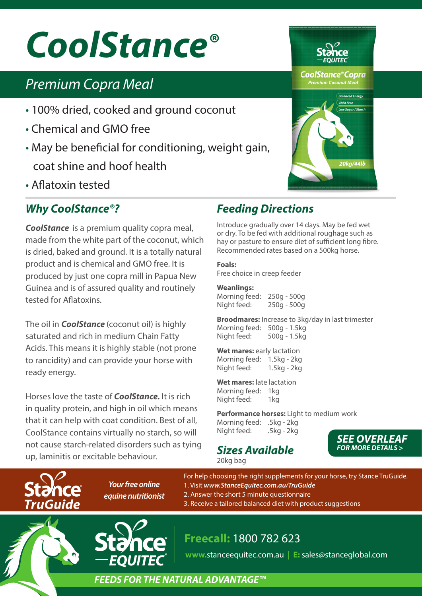# *CoolStance®*

# *Premium Copra Meal*

- 100% dried, cooked and ground coconut
- Chemical and GMO free
- May be beneficial for conditioning, weight gain, coat shine and hoof health
- Aflatoxin tested

# *Why CoolStance®?*

*CoolStance* is a premium quality copra meal, made from the white part of the coconut, which is dried, baked and ground. It is a totally natural product and is chemical and GMO free. It is produced by just one copra mill in Papua New Guinea and is of assured quality and routinely tested for Aflatoxins.

The oil in *CoolStance* (coconut oil) is highly saturated and rich in medium Chain Fatty Acids. This means it is highly stable (not prone to rancidity) and can provide your horse with ready energy.

Horses love the taste of *CoolStance.* It is rich in quality protein, and high in oil which means that it can help with coat condition. Best of all, CoolStance contains virtually no starch, so will not cause starch-related disorders such as tying up, laminitis or excitable behaviour.

# *Feeding Directions*

Introduce gradually over 14 days. May be fed wet or dry. To be fed with additional roughage such as hay or pasture to ensure diet of sufficient long fibre. Recommended rates based on a 500kg horse.

#### **Foals:**

Free choice in creep feeder

#### **Weanlings:**

Morning feed: 250g - 500g Night feed: 250g - 500g

**Broodmares:** Increase to 3kg/day in last trimester Morning feed: 500g - 1.5kg Night feed: 500g - 1.5kg

**Wet mares:** early lactation Morning feed: 1.5kg - 2kg Night feed: 1.5kg - 2kg

**Wet mares:** late lactation Morning feed: 1kg Night feed: 1kg

**Performance horses:** Light to medium work Morning feed: .5kg - 2kg Night feed: .5kg - 2kg

#### *Sizes Available* 20kg bag

*SEE OVERLEAF FOR MORE DETAILS >*

**TruGuide** 

*Your free online equine nutritionist*

For help choosing the right supplements for your horse, try Stance TruGuide. 1. Visit *www.StanceEquitec.com.au/TruGuide* 2. Answer the short 5 minute questionnaire 3. Receive a tailored balanced diet with product suggestions

# **Freecall:** 1800 782 623

**www.**stanceequitec.com.au | **E:** sales@stanceglobal.com

### *FEEDS FOR THE NATURAL ADVANTAGE™*

**CoolStance®Copra Premium Coconut Meal**